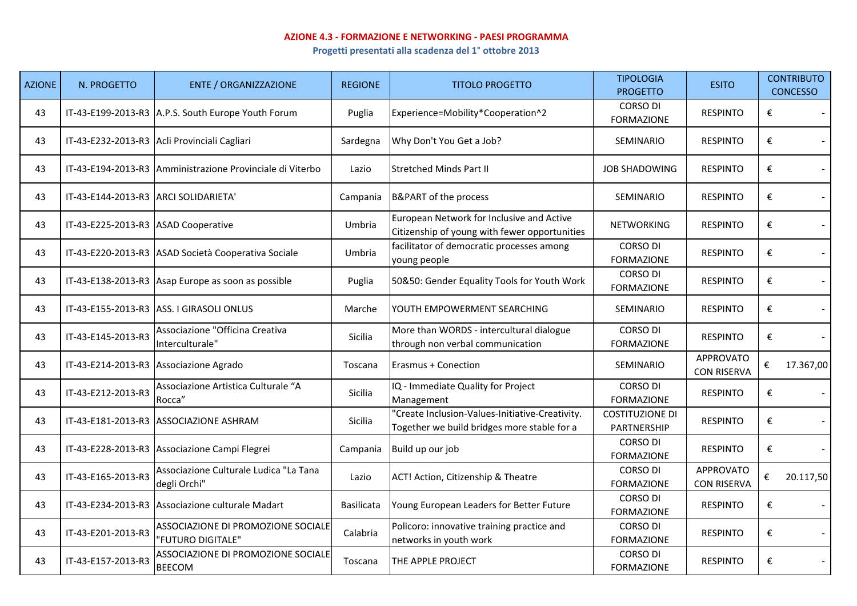## **AZIONE 4.3 - FORMAZIONE E NETWORKING - PAESI PROGRAMMA**

**Progetti presentati alla scadenza del 1° ottobre 2013**

| <b>AZIONE</b> | N. PROGETTO                          | <b>ENTE / ORGANIZZAZIONE</b>                              | <b>REGIONE</b>    | <b>TITOLO PROGETTO</b>                                                                         | <b>TIPOLOGIA</b><br><b>PROGETTO</b>   | <b>ESITO</b>                           |                         | <b>CONTRIBUTO</b><br><b>CONCESSO</b> |
|---------------|--------------------------------------|-----------------------------------------------------------|-------------------|------------------------------------------------------------------------------------------------|---------------------------------------|----------------------------------------|-------------------------|--------------------------------------|
| 43            |                                      | IT-43-E199-2013-R3 A.P.S. South Europe Youth Forum        | Puglia            | Experience=Mobility*Cooperation^2                                                              | <b>CORSO DI</b><br><b>FORMAZIONE</b>  | <b>RESPINTO</b>                        | €                       |                                      |
| 43            |                                      | IT-43-E232-2013-R3 Acli Provinciali Cagliari              | Sardegna          | Why Don't You Get a Job?                                                                       | <b>SEMINARIO</b>                      | <b>RESPINTO</b>                        | €                       |                                      |
| 43            |                                      | IT-43-E194-2013-R3 Amministrazione Provinciale di Viterbo | Lazio             | <b>Stretched Minds Part II</b>                                                                 | <b>JOB SHADOWING</b>                  | <b>RESPINTO</b>                        | €                       |                                      |
| 43            | IT-43-E144-2013-R3 ARCI SOLIDARIETA' |                                                           | Campania          | <b>B&amp;PART</b> of the process                                                               | <b>SEMINARIO</b>                      | <b>RESPINTO</b>                        | €                       |                                      |
| 43            | IT-43-E225-2013-R3 ASAD Cooperative  |                                                           | Umbria            | European Network for Inclusive and Active<br>Citizenship of young with fewer opportunities     | <b>NETWORKING</b>                     | <b>RESPINTO</b>                        | €                       |                                      |
| 43            |                                      | IT-43-E220-2013-R3 ASAD Società Cooperativa Sociale       | Umbria            | facilitator of democratic processes among<br>young people                                      | <b>CORSO DI</b><br><b>FORMAZIONE</b>  | <b>RESPINTO</b>                        | €                       |                                      |
| 43            |                                      | IT-43-E138-2013-R3 Asap Europe as soon as possible        | Puglia            | 50&50: Gender Equality Tools for Youth Work                                                    | <b>CORSO DI</b><br><b>FORMAZIONE</b>  | <b>RESPINTO</b>                        | €                       |                                      |
| 43            |                                      | IT-43-E155-2013-R3 ASS. I GIRASOLI ONLUS                  | Marche            | YOUTH EMPOWERMENT SEARCHING                                                                    | <b>SEMINARIO</b>                      | <b>RESPINTO</b>                        | €                       |                                      |
| 43            | IT-43-E145-2013-R3                   | Associazione "Officina Creativa<br>Interculturale"        | Sicilia           | More than WORDS - intercultural dialogue<br>through non verbal communication                   | <b>CORSO DI</b><br><b>FORMAZIONE</b>  | <b>RESPINTO</b>                        | $\boldsymbol{\epsilon}$ |                                      |
| 43            |                                      | IT-43-E214-2013-R3 Associazione Agrado                    | Toscana           | <b>Erasmus + Conection</b>                                                                     | SEMINARIO                             | <b>APPROVATO</b><br><b>CON RISERVA</b> | €                       | 17.367,00                            |
| 43            | IT-43-E212-2013-R3                   | Associazione Artistica Culturale "A<br>Rocca"             | <b>Sicilia</b>    | IQ - Immediate Quality for Project<br>Management                                               | <b>CORSO DI</b><br><b>FORMAZIONE</b>  | <b>RESPINTO</b>                        | €                       |                                      |
| 43            |                                      | IT-43-E181-2013-R3 ASSOCIAZIONE ASHRAM                    | Sicilia           | 'Create Inclusion-Values-Initiative-Creativity.<br>Together we build bridges more stable for a | <b>COSTITUZIONE DI</b><br>PARTNERSHIP | <b>RESPINTO</b>                        | €                       |                                      |
| 43            |                                      | IT-43-E228-2013-R3 Associazione Campi Flegrei             | Campania          | Build up our job                                                                               | <b>CORSO DI</b><br><b>FORMAZIONE</b>  | <b>RESPINTO</b>                        | €                       | $\sim$                               |
| 43            | IT-43-E165-2013-R3                   | Associazione Culturale Ludica "La Tana<br>degli Orchi"    | Lazio             | ACT! Action, Citizenship & Theatre                                                             | <b>CORSO DI</b><br><b>FORMAZIONE</b>  | <b>APPROVATO</b><br><b>CON RISERVA</b> | €                       | 20.117,50                            |
| 43            |                                      | IT-43-E234-2013-R3 Associazione culturale Madart          | <b>Basilicata</b> | Young European Leaders for Better Future                                                       | <b>CORSO DI</b><br><b>FORMAZIONE</b>  | <b>RESPINTO</b>                        | €                       |                                      |
| 43            | IT-43-E201-2013-R3                   | ASSOCIAZIONE DI PROMOZIONE SOCIALE<br>'FUTURO DIGITALE"   | Calabria          | Policoro: innovative training practice and<br>networks in youth work                           | <b>CORSO DI</b><br><b>FORMAZIONE</b>  | <b>RESPINTO</b>                        | €                       |                                      |
| 43            | IT-43-E157-2013-R3                   | ASSOCIAZIONE DI PROMOZIONE SOCIALE<br><b>BEECOM</b>       | Toscana           | THE APPLE PROJECT                                                                              | <b>CORSO DI</b><br><b>FORMAZIONE</b>  | <b>RESPINTO</b>                        | €                       |                                      |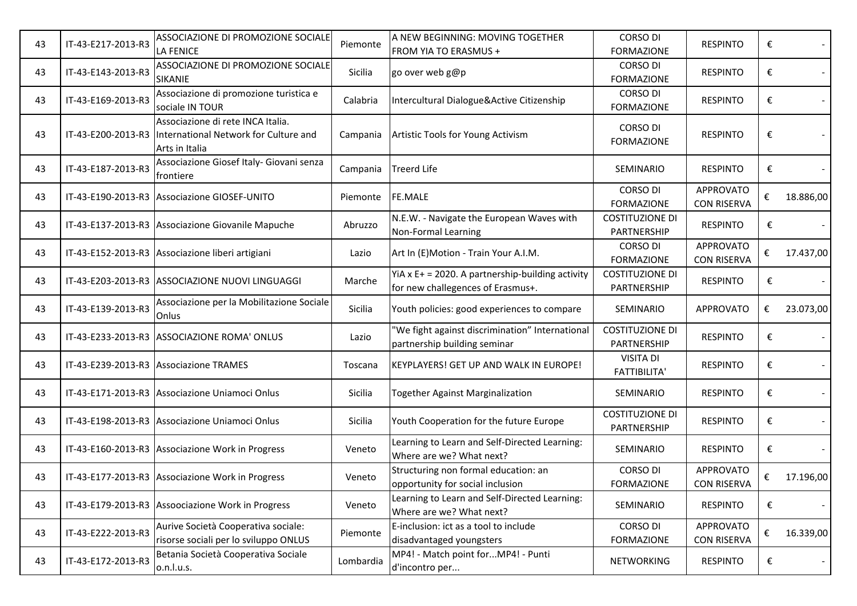| 43 | IT-43-E217-2013-R3 | ASSOCIAZIONE DI PROMOZIONE SOCIALE<br>LA FENICE                                              | Piemonte  | A NEW BEGINNING: MOVING TOGETHER<br>FROM YIA TO ERASMUS +                                | <b>CORSO DI</b><br><b>FORMAZIONE</b>    | <b>RESPINTO</b>                        | € |           |
|----|--------------------|----------------------------------------------------------------------------------------------|-----------|------------------------------------------------------------------------------------------|-----------------------------------------|----------------------------------------|---|-----------|
| 43 | IT-43-E143-2013-R3 | ASSOCIAZIONE DI PROMOZIONE SOCIALE<br>SIKANIE                                                | Sicilia   | go over web g@p                                                                          | <b>CORSO DI</b><br><b>FORMAZIONE</b>    | <b>RESPINTO</b>                        | € |           |
| 43 | IT-43-E169-2013-R3 | Associazione di promozione turistica e<br>sociale IN TOUR                                    | Calabria  | Intercultural Dialogue&Active Citizenship                                                | <b>CORSO DI</b><br><b>FORMAZIONE</b>    | <b>RESPINTO</b>                        | € |           |
| 43 | IT-43-E200-2013-R3 | Associazione di rete INCA Italia.<br>International Network for Culture and<br>Arts in Italia | Campania  | Artistic Tools for Young Activism                                                        | <b>CORSO DI</b><br><b>FORMAZIONE</b>    | <b>RESPINTO</b>                        | € |           |
| 43 | IT-43-E187-2013-R3 | Associazione Giosef Italy- Giovani senza<br>frontiere                                        | Campania  | <b>Treerd Life</b>                                                                       | <b>SEMINARIO</b>                        | <b>RESPINTO</b>                        | € |           |
| 43 |                    | IT-43-E190-2013-R3 Associazione GIOSEF-UNITO                                                 | Piemonte  | FE.MALE                                                                                  | CORSO DI<br><b>FORMAZIONE</b>           | <b>APPROVATO</b><br><b>CON RISERVA</b> | € | 18.886,00 |
| 43 |                    | IT-43-E137-2013-R3 Associazione Giovanile Mapuche                                            | Abruzzo   | N.E.W. - Navigate the European Waves with<br>Non-Formal Learning                         | <b>COSTITUZIONE DI</b><br>PARTNERSHIP   | <b>RESPINTO</b>                        | € |           |
| 43 |                    | IT-43-E152-2013-R3 Associazione liberi artigiani                                             | Lazio     | Art In (E)Motion - Train Your A.I.M.                                                     | <b>CORSO DI</b><br><b>FORMAZIONE</b>    | <b>APPROVATO</b><br><b>CON RISERVA</b> | € | 17.437,00 |
| 43 |                    | IT-43-E203-2013-R3 ASSOCIAZIONE NUOVI LINGUAGGI                                              | Marche    | YiA x $E+ = 2020$ . A partnership-building activity<br>for new challegences of Erasmus+. | <b>COSTITUZIONE DI</b><br>PARTNERSHIP   | <b>RESPINTO</b>                        | € |           |
| 43 | IT-43-E139-2013-R3 | Associazione per la Mobilitazione Sociale<br>Onlus                                           | Sicilia   | Youth policies: good experiences to compare                                              | SEMINARIO                               | <b>APPROVATO</b>                       | € | 23.073,00 |
| 43 |                    | IT-43-E233-2013-R3 ASSOCIAZIONE ROMA' ONLUS                                                  | Lazio     | 'We fight against discrimination" International<br>partnership building seminar          | <b>COSTITUZIONE DI</b><br>PARTNERSHIP   | <b>RESPINTO</b>                        | € |           |
| 43 |                    | IT-43-E239-2013-R3 Associazione TRAMES                                                       | Toscana   | KEYPLAYERS! GET UP AND WALK IN EUROPE!                                                   | <b>VISITA DI</b><br><b>FATTIBILITA'</b> | <b>RESPINTO</b>                        | € |           |
| 43 |                    | IT-43-E171-2013-R3 Associazione Uniamoci Onlus                                               | Sicilia   | Together Against Marginalization                                                         | SEMINARIO                               | <b>RESPINTO</b>                        | € |           |
| 43 |                    | IT-43-E198-2013-R3 Associazione Uniamoci Onlus                                               | Sicilia   | Youth Cooperation for the future Europe                                                  | <b>COSTITUZIONE DI</b><br>PARTNERSHIP   | <b>RESPINTO</b>                        | € |           |
| 43 |                    | IT-43-E160-2013-R3 Associazione Work in Progress                                             | Veneto    | Learning to Learn and Self-Directed Learning:<br>Where are we? What next?                | <b>SEMINARIO</b>                        | <b>RESPINTO</b>                        | € |           |
| 43 |                    | IT-43-E177-2013-R3 Associazione Work in Progress                                             | Veneto    | Structuring non formal education: an<br>opportunity for social inclusion                 | <b>CORSO DI</b><br><b>FORMAZIONE</b>    | <b>APPROVATO</b><br><b>CON RISERVA</b> | € | 17.196,00 |
| 43 |                    | IT-43-E179-2013-R3 Assoociazione Work in Progress                                            | Veneto    | Learning to Learn and Self-Directed Learning:<br>Where are we? What next?                | SEMINARIO                               | <b>RESPINTO</b>                        | € |           |
| 43 | IT-43-E222-2013-R3 | Aurive Società Cooperativa sociale:<br>risorse sociali per lo sviluppo ONLUS                 | Piemonte  | E-inclusion: ict as a tool to include<br>disadvantaged youngsters                        | CORSO DI<br><b>FORMAZIONE</b>           | APPROVATO<br><b>CON RISERVA</b>        | € | 16.339,00 |
| 43 | IT-43-E172-2013-R3 | Betania Società Cooperativa Sociale<br>o.n.l.u.s.                                            | Lombardia | MP4! - Match point forMP4! - Punti<br>d'incontro per                                     | NETWORKING                              | <b>RESPINTO</b>                        | € |           |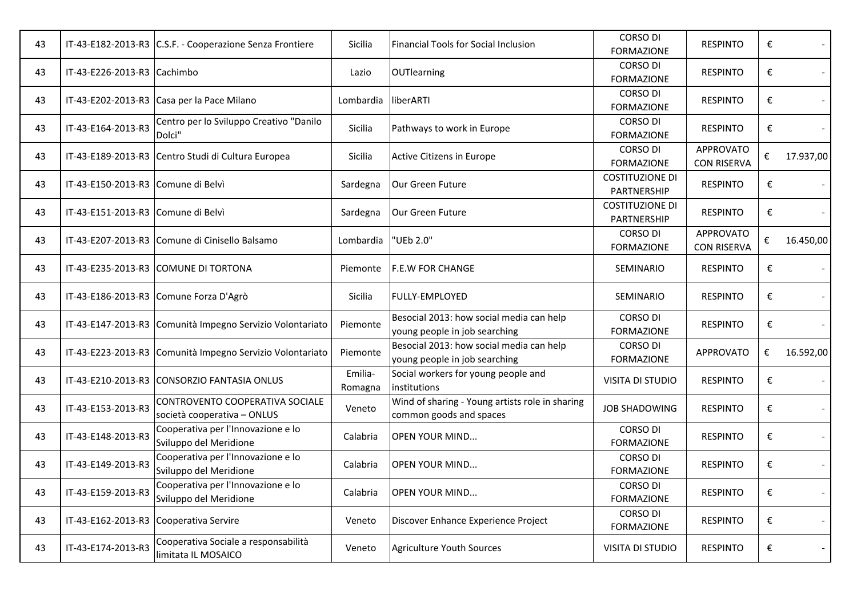| 43 |                                        | IT-43-E182-2013-R3 C.S.F. - Cooperazione Senza Frontiere       | Sicilia            | Financial Tools for Social Inclusion                                       | <b>CORSO DI</b><br><b>FORMAZIONE</b>  | <b>RESPINTO</b>                        | €                       |                          |
|----|----------------------------------------|----------------------------------------------------------------|--------------------|----------------------------------------------------------------------------|---------------------------------------|----------------------------------------|-------------------------|--------------------------|
| 43 | IT-43-E226-2013-R3 Cachimbo            |                                                                | Lazio              | <b>OUTlearning</b>                                                         | <b>CORSO DI</b><br><b>FORMAZIONE</b>  | <b>RESPINTO</b>                        | €                       |                          |
| 43 |                                        | IT-43-E202-2013-R3 Casa per la Pace Milano                     | Lombardia          | liberARTI                                                                  | <b>CORSO DI</b><br><b>FORMAZIONE</b>  | <b>RESPINTO</b>                        | €                       |                          |
| 43 | IT-43-E164-2013-R3                     | Centro per lo Sviluppo Creativo "Danilo<br>Dolci'              | Sicilia            | Pathways to work in Europe                                                 | <b>CORSO DI</b><br><b>FORMAZIONE</b>  | <b>RESPINTO</b>                        | €                       |                          |
| 43 |                                        | IT-43-E189-2013-R3 Centro Studi di Cultura Europea             | Sicilia            | Active Citizens in Europe                                                  | <b>CORSO DI</b><br><b>FORMAZIONE</b>  | <b>APPROVATO</b><br><b>CON RISERVA</b> | €                       | 17.937,00                |
| 43 | IT-43-E150-2013-R3 Comune di Belvì     |                                                                | Sardegna           | Our Green Future                                                           | <b>COSTITUZIONE DI</b><br>PARTNERSHIP | <b>RESPINTO</b>                        | €                       |                          |
| 43 | IT-43-E151-2013-R3 Comune di Belvì     |                                                                | Sardegna           | Our Green Future                                                           | <b>COSTITUZIONE DI</b><br>PARTNERSHIP | <b>RESPINTO</b>                        | €                       |                          |
| 43 |                                        | IT-43-E207-2013-R3 Comune di Cinisello Balsamo                 | Lombardia          | "UEb 2.0"                                                                  | <b>CORSO DI</b><br><b>FORMAZIONE</b>  | <b>APPROVATO</b><br><b>CON RISERVA</b> | €                       | 16.450,00                |
| 43 |                                        | IT-43-E235-2013-R3 COMUNE DI TORTONA                           | Piemonte           | <b>F.E.W FOR CHANGE</b>                                                    | SEMINARIO                             | <b>RESPINTO</b>                        | €                       |                          |
| 43 |                                        | IT-43-E186-2013-R3 Comune Forza D'Agrò                         | Sicilia            | FULLY-EMPLOYED                                                             | SEMINARIO                             | <b>RESPINTO</b>                        | €                       |                          |
| 43 |                                        | IT-43-E147-2013-R3 Comunità Impegno Servizio Volontariato      | Piemonte           | Besocial 2013: how social media can help<br>young people in job searching  | <b>CORSO DI</b><br><b>FORMAZIONE</b>  | <b>RESPINTO</b>                        | €                       |                          |
| 43 |                                        | IT-43-E223-2013-R3 Comunità Impegno Servizio Volontariato      | Piemonte           | Besocial 2013: how social media can help<br>young people in job searching  | <b>CORSO DI</b><br><b>FORMAZIONE</b>  | <b>APPROVATO</b>                       | €                       | 16.592,00                |
| 43 |                                        | IT-43-E210-2013-R3 CONSORZIO FANTASIA ONLUS                    | Emilia-<br>Romagna | Social workers for young people and<br>institutions                        | <b>VISITA DI STUDIO</b>               | <b>RESPINTO</b>                        | €                       |                          |
| 43 | IT-43-E153-2013-R3                     | CONTROVENTO COOPERATIVA SOCIALE<br>società cooperativa - ONLUS | Veneto             | Wind of sharing - Young artists role in sharing<br>common goods and spaces | <b>JOB SHADOWING</b>                  | <b>RESPINTO</b>                        | €                       |                          |
| 43 | IT-43-E148-2013-R3                     | Cooperativa per l'Innovazione e lo<br>Sviluppo del Meridione   | Calabria           | OPEN YOUR MIND                                                             | <b>CORSO DI</b><br><b>FORMAZIONE</b>  | <b>RESPINTO</b>                        | €                       |                          |
| 43 | IT-43-E149-2013-R3                     | Cooperativa per l'Innovazione e lo<br>Sviluppo del Meridione   | Calabria           | <b>OPEN YOUR MIND</b>                                                      | CORSO DI<br><b>FORMAZIONE</b>         | <b>RESPINTO</b>                        | €                       |                          |
| 43 | IT-43-E159-2013-R3                     | Cooperativa per l'Innovazione e lo<br>Sviluppo del Meridione   | Calabria           | <b>OPEN YOUR MIND</b>                                                      | CORSO DI<br><b>FORMAZIONE</b>         | <b>RESPINTO</b>                        | $\boldsymbol{\epsilon}$ |                          |
| 43 | IT-43-E162-2013-R3 Cooperativa Servire |                                                                | Veneto             | Discover Enhance Experience Project                                        | CORSO DI<br><b>FORMAZIONE</b>         | <b>RESPINTO</b>                        | €                       |                          |
| 43 | IT-43-E174-2013-R3                     | Cooperativa Sociale a responsabilità<br>limitata IL MOSAICO    | Veneto             | <b>Agriculture Youth Sources</b>                                           | <b>VISITA DI STUDIO</b>               | <b>RESPINTO</b>                        | €                       | $\overline{\phantom{a}}$ |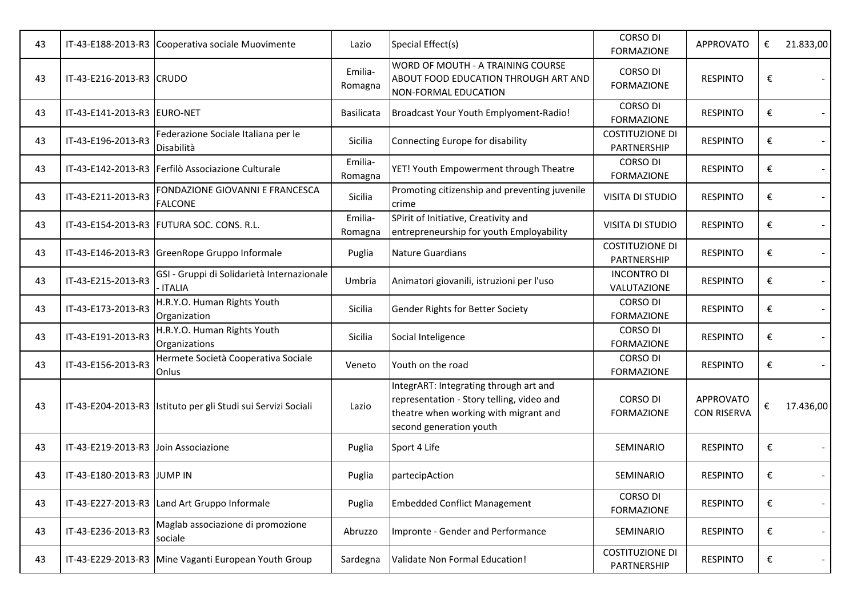| 43 |                             | IT-43-E188-2013-R3 Cooperativa sociale Muovimente              | Lazio              | Special Effect(s)                                                                                                                                       | <b>CORSO DI</b><br><b>FORMAZIONE</b>  | <b>APPROVATO</b>                       | € | 21.833,00                |
|----|-----------------------------|----------------------------------------------------------------|--------------------|---------------------------------------------------------------------------------------------------------------------------------------------------------|---------------------------------------|----------------------------------------|---|--------------------------|
| 43 | IT-43-E216-2013-R3 CRUDO    |                                                                | Emilia-<br>Romagna | WORD OF MOUTH - A TRAINING COURSE<br>ABOUT FOOD EDUCATION THROUGH ART AND<br>NON-FORMAL EDUCATION                                                       | CORSO DI<br><b>FORMAZIONE</b>         | <b>RESPINTO</b>                        | € |                          |
| 43 | IT-43-E141-2013-R3 EURO-NET |                                                                | Basilicata         | Broadcast Your Youth Emplyoment-Radio!                                                                                                                  | <b>CORSO DI</b><br><b>FORMAZIONE</b>  | <b>RESPINTO</b>                        | € |                          |
| 43 | IT-43-E196-2013-R3          | Federazione Sociale Italiana per le<br>Disabilità              | Sicilia            | Connecting Europe for disability                                                                                                                        | <b>COSTITUZIONE DI</b><br>PARTNERSHIP | <b>RESPINTO</b>                        | € |                          |
| 43 |                             | IT-43-E142-2013-R3   Ferfilò Associazione Culturale            | Emilia-<br>Romagna | YET! Youth Empowerment through Theatre                                                                                                                  | <b>CORSO DI</b><br><b>FORMAZIONE</b>  | <b>RESPINTO</b>                        | € |                          |
| 43 | IT-43-E211-2013-R3          | FONDAZIONE GIOVANNI E FRANCESCA<br><b>FALCONE</b>              | Sicilia            | Promoting citizenship and preventing juvenile<br>crime                                                                                                  | <b>VISITA DI STUDIO</b>               | <b>RESPINTO</b>                        | € |                          |
| 43 |                             | IT-43-E154-2013-R3 FUTURA SOC. CONS. R.L.                      | Emilia-<br>Romagna | SPirit of Initiative, Creativity and<br>entrepreneurship for youth Employability                                                                        | <b>VISITA DI STUDIO</b>               | <b>RESPINTO</b>                        | € |                          |
| 43 |                             | IT-43-E146-2013-R3 GreenRope Gruppo Informale                  | Puglia             | <b>Nature Guardians</b>                                                                                                                                 | <b>COSTITUZIONE DI</b><br>PARTNERSHIP | <b>RESPINTO</b>                        | € |                          |
| 43 | IT-43-E215-2013-R3          | GSI - Gruppi di Solidarietà Internazionale<br><b>ITALIA</b>    | Umbria             | Animatori giovanili, istruzioni per l'uso                                                                                                               | <b>INCONTRO DI</b><br>VALUTAZIONE     | <b>RESPINTO</b>                        | € |                          |
| 43 | IT-43-E173-2013-R3          | H.R.Y.O. Human Rights Youth<br>Organization                    | Sicilia            | Gender Rights for Better Society                                                                                                                        | <b>CORSO DI</b><br><b>FORMAZIONE</b>  | <b>RESPINTO</b>                        | € |                          |
| 43 | IT-43-E191-2013-R3          | H.R.Y.O. Human Rights Youth<br>Organizations                   | Sicilia            | Social Inteligence                                                                                                                                      | <b>CORSO DI</b><br><b>FORMAZIONE</b>  | <b>RESPINTO</b>                        | € |                          |
| 43 | IT-43-E156-2013-R3          | Hermete Società Cooperativa Sociale<br>Onlus                   | Veneto             | Youth on the road                                                                                                                                       | <b>CORSO DI</b><br><b>FORMAZIONE</b>  | <b>RESPINTO</b>                        | € |                          |
| 43 |                             | IT-43-E204-2013-R3  Istituto per gli Studi sui Servizi Sociali | Lazio              | IntegrART: Integrating through art and<br>representation - Story telling, video and<br>theatre when working with migrant and<br>second generation youth | <b>CORSO DI</b><br><b>FORMAZIONE</b>  | <b>APPROVATO</b><br><b>CON RISERVA</b> | € | 17.436,00                |
| 43 | IT-43-E219-2013-R3          | Join Associazione                                              | Puglia             | Sport 4 Life                                                                                                                                            | SEMINARIO                             | <b>RESPINTO</b>                        | € |                          |
| 43 | IT-43-E180-2013-R3 JUMP IN  |                                                                | Puglia             | partecipAction                                                                                                                                          | SEMINARIO                             | <b>RESPINTO</b>                        | € |                          |
| 43 | IT-43-E227-2013-R3          | Land Art Gruppo Informale                                      | Puglia             | <b>Embedded Conflict Management</b>                                                                                                                     | <b>CORSO DI</b><br><b>FORMAZIONE</b>  | <b>RESPINTO</b>                        | € | $\overline{\phantom{a}}$ |
| 43 | IT-43-E236-2013-R3          | Maglab associazione di promozione<br>sociale                   | Abruzzo            | Impronte - Gender and Performance                                                                                                                       | SEMINARIO                             | <b>RESPINTO</b>                        | € |                          |
| 43 | IT-43-E229-2013-R3          | Mine Vaganti European Youth Group                              | Sardegna           | Validate Non Formal Education!                                                                                                                          | <b>COSTITUZIONE DI</b><br>PARTNERSHIP | <b>RESPINTO</b>                        | € | $\overline{\phantom{a}}$ |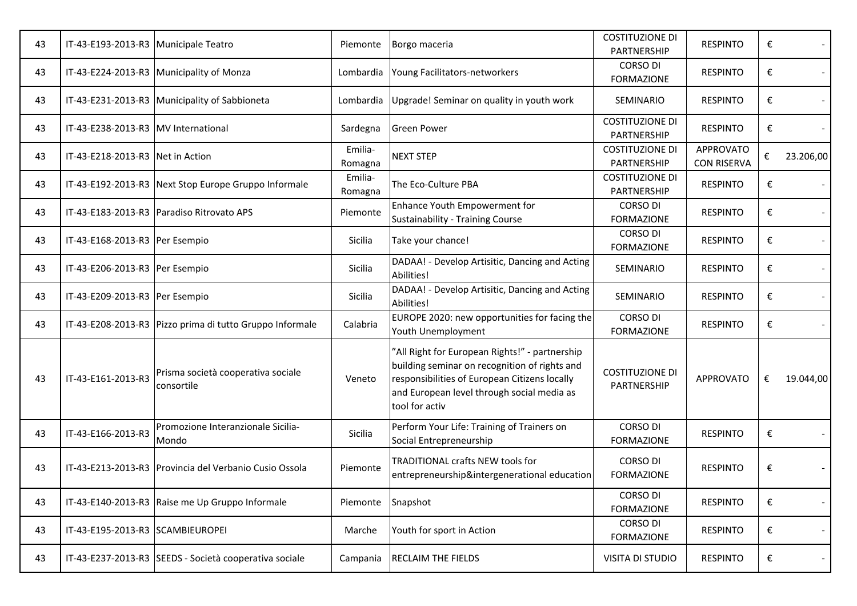| 43 | IT-43-E193-2013-R3 Municipale Teatro |                                                          | Piemonte           | Borgo maceria                                                                                                                                                                                                    | <b>COSTITUZIONE DI</b><br>PARTNERSHIP | <b>RESPINTO</b>                        | € |                |
|----|--------------------------------------|----------------------------------------------------------|--------------------|------------------------------------------------------------------------------------------------------------------------------------------------------------------------------------------------------------------|---------------------------------------|----------------------------------------|---|----------------|
| 43 |                                      | IT-43-E224-2013-R3 Municipality of Monza                 | Lombardia          | Young Facilitators-networkers                                                                                                                                                                                    | <b>CORSO DI</b><br><b>FORMAZIONE</b>  | <b>RESPINTO</b>                        | € |                |
| 43 |                                      | IT-43-E231-2013-R3   Municipality of Sabbioneta          | Lombardia          | Upgrade! Seminar on quality in youth work                                                                                                                                                                        | SEMINARIO                             | <b>RESPINTO</b>                        | € |                |
| 43 | IT-43-E238-2013-R3 MV International  |                                                          | Sardegna           | <b>Green Power</b>                                                                                                                                                                                               | <b>COSTITUZIONE DI</b><br>PARTNERSHIP | <b>RESPINTO</b>                        | € |                |
| 43 | IT-43-E218-2013-R3 Net in Action     |                                                          | Emilia-<br>Romagna | <b>NEXT STEP</b>                                                                                                                                                                                                 | <b>COSTITUZIONE DI</b><br>PARTNERSHIP | <b>APPROVATO</b><br><b>CON RISERVA</b> | € | 23.206,00      |
| 43 |                                      | IT-43-E192-2013-R3 Next Stop Europe Gruppo Informale     | Emilia-<br>Romagna | The Eco-Culture PBA                                                                                                                                                                                              | <b>COSTITUZIONE DI</b><br>PARTNERSHIP | <b>RESPINTO</b>                        | € |                |
| 43 |                                      | IT-43-E183-2013-R3   Paradiso Ritrovato APS              | Piemonte           | Enhance Youth Empowerment for<br>Sustainability - Training Course                                                                                                                                                | <b>CORSO DI</b><br><b>FORMAZIONE</b>  | <b>RESPINTO</b>                        | € |                |
| 43 | IT-43-E168-2013-R3 Per Esempio       |                                                          | Sicilia            | Take your chance!                                                                                                                                                                                                | <b>CORSO DI</b><br><b>FORMAZIONE</b>  | <b>RESPINTO</b>                        | € |                |
| 43 | IT-43-E206-2013-R3 Per Esempio       |                                                          | <b>Sicilia</b>     | DADAA! - Develop Artisitic, Dancing and Acting<br>Abilities!                                                                                                                                                     | SEMINARIO                             | <b>RESPINTO</b>                        | € |                |
| 43 | IT-43-E209-2013-R3 Per Esempio       |                                                          | Sicilia            | DADAA! - Develop Artisitic, Dancing and Acting<br>Abilities!                                                                                                                                                     | SEMINARIO                             | <b>RESPINTO</b>                        | € |                |
| 43 |                                      | IT-43-E208-2013-R3 Pizzo prima di tutto Gruppo Informale | Calabria           | EUROPE 2020: new opportunities for facing the<br>Youth Unemployment                                                                                                                                              | <b>CORSO DI</b><br><b>FORMAZIONE</b>  | <b>RESPINTO</b>                        | € |                |
| 43 | IT-43-E161-2013-R3                   | Prisma società cooperativa sociale<br>consortile         | Veneto             | 'All Right for European Rights!" - partnership<br>building seminar on recognition of rights and<br>responsibilities of European Citizens locally<br>and European level through social media as<br>tool for activ | <b>COSTITUZIONE DI</b><br>PARTNERSHIP | <b>APPROVATO</b>                       | € | 19.044,00      |
| 43 | IT-43-E166-2013-R3                   | Promozione Interanzionale Sicilia-<br>Mondo              | Sicilia            | Perform Your Life: Training of Trainers on<br>Social Entrepreneurship                                                                                                                                            | <b>CORSO DI</b><br><b>FORMAZIONE</b>  | <b>RESPINTO</b>                        | € |                |
| 43 |                                      | IT-43-E213-2013-R3   Provincia del Verbanio Cusio Ossola | Piemonte           | TRADITIONAL crafts NEW tools for<br>entrepreneurship&intergenerational education                                                                                                                                 | <b>CORSO DI</b><br><b>FORMAZIONE</b>  | <b>RESPINTO</b>                        | € |                |
| 43 |                                      | IT-43-E140-2013-R3 Raise me Up Gruppo Informale          | Piemonte           | Snapshot                                                                                                                                                                                                         | <b>CORSO DI</b><br><b>FORMAZIONE</b>  | <b>RESPINTO</b>                        | € | $\blacksquare$ |
| 43 | IT-43-E195-2013-R3 SCAMBIEUROPEI     |                                                          | Marche             | Youth for sport in Action                                                                                                                                                                                        | <b>CORSO DI</b><br><b>FORMAZIONE</b>  | <b>RESPINTO</b>                        | € | $\sim$         |
| 43 |                                      | IT-43-E237-2013-R3 SEEDS - Società cooperativa sociale   | Campania           | RECLAIM THE FIELDS                                                                                                                                                                                               | VISITA DI STUDIO                      | <b>RESPINTO</b>                        | € | $\sim$         |